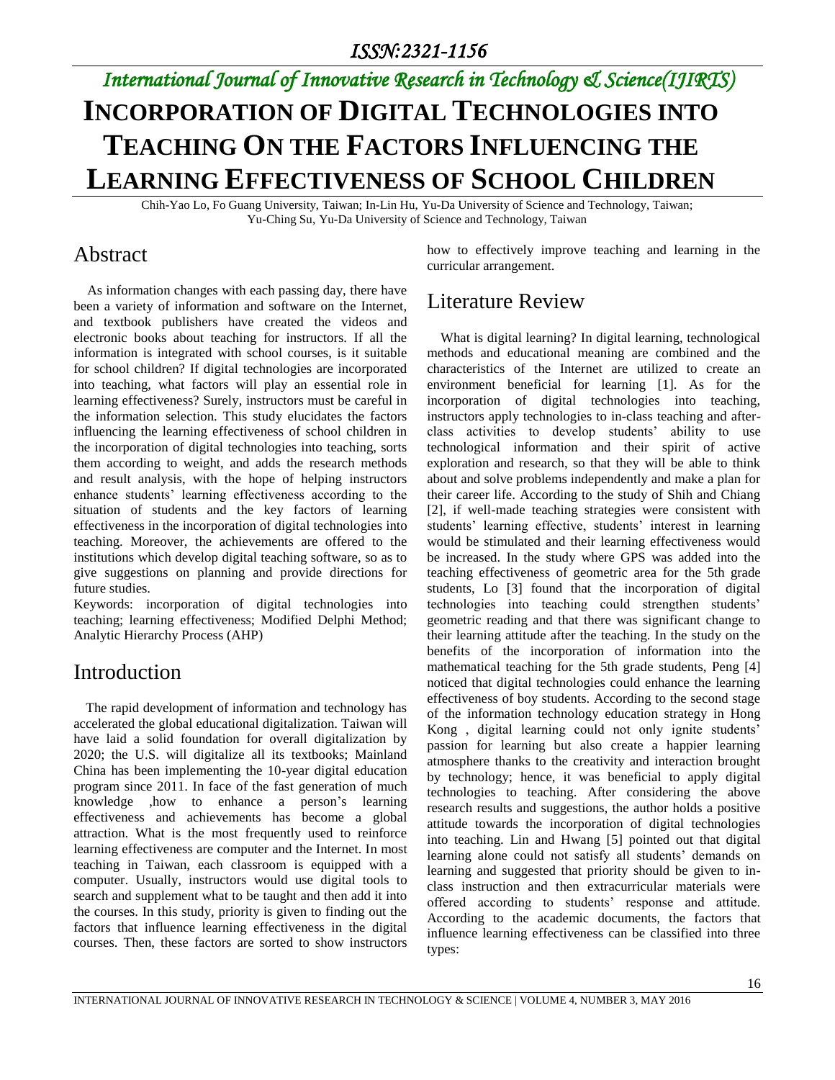# *International Journal of Innovative Research in Technology & Science(IJIRTS)* **INCORPORATION OF DIGITAL TECHNOLOGIES INTO TEACHING ON THE FACTORS INFLUENCING THE LEARNING EFFECTIVENESS OF SCHOOL CHILDREN**

Chih-Yao Lo, Fo Guang University, Taiwan; In-Lin Hu, Yu-Da University of Science and Technology, Taiwan; Yu-Ching Su, Yu-Da University of Science and Technology, Taiwan

### Abstract

 As information changes with each passing day, there have been a variety of information and software on the Internet, and textbook publishers have created the videos and electronic books about teaching for instructors. If all the information is integrated with school courses, is it suitable for school children? If digital technologies are incorporated into teaching, what factors will play an essential role in learning effectiveness? Surely, instructors must be careful in the information selection. This study elucidates the factors influencing the learning effectiveness of school children in the incorporation of digital technologies into teaching, sorts them according to weight, and adds the research methods and result analysis, with the hope of helping instructors enhance students' learning effectiveness according to the situation of students and the key factors of learning effectiveness in the incorporation of digital technologies into teaching. Moreover, the achievements are offered to the institutions which develop digital teaching software, so as to give suggestions on planning and provide directions for future studies.

Keywords: incorporation of digital technologies into teaching; learning effectiveness; Modified Delphi Method; Analytic Hierarchy Process (AHP)

### Introduction

The rapid development of information and technology has accelerated the global educational digitalization. Taiwan will have laid a solid foundation for overall digitalization by 2020; the U.S. will digitalize all its textbooks; Mainland China has been implementing the 10-year digital education program since 2011. In face of the fast generation of much knowledge ,how to enhance a person's learning effectiveness and achievements has become a global attraction. What is the most frequently used to reinforce learning effectiveness are computer and the Internet. In most teaching in Taiwan, each classroom is equipped with a computer. Usually, instructors would use digital tools to search and supplement what to be taught and then add it into the courses. In this study, priority is given to finding out the factors that influence learning effectiveness in the digital courses. Then, these factors are sorted to show instructors how to effectively improve teaching and learning in the curricular arrangement.

## Literature Review

What is digital learning? In digital learning, technological methods and educational meaning are combined and the characteristics of the Internet are utilized to create an environment beneficial for learning [1]. As for the incorporation of digital technologies into teaching, instructors apply technologies to in-class teaching and afterclass activities to develop students' ability to use technological information and their spirit of active exploration and research, so that they will be able to think about and solve problems independently and make a plan for their career life. According to the study of Shih and Chiang [2], if well-made teaching strategies were consistent with students' learning effective, students' interest in learning would be stimulated and their learning effectiveness would be increased. In the study where GPS was added into the teaching effectiveness of geometric area for the 5th grade students, Lo [3] found that the incorporation of digital technologies into teaching could strengthen students' geometric reading and that there was significant change to their learning attitude after the teaching. In the study on the benefits of the incorporation of information into the mathematical teaching for the 5th grade students, Peng [4] noticed that digital technologies could enhance the learning effectiveness of boy students. According to the second stage of the information technology education strategy in Hong Kong , digital learning could not only ignite students' passion for learning but also create a happier learning atmosphere thanks to the creativity and interaction brought by technology; hence, it was beneficial to apply digital technologies to teaching. After considering the above research results and suggestions, the author holds a positive attitude towards the incorporation of digital technologies into teaching. Lin and Hwang [5] pointed out that digital learning alone could not satisfy all students' demands on learning and suggested that priority should be given to inclass instruction and then extracurricular materials were offered according to students' response and attitude. According to the academic documents, the factors that influence learning effectiveness can be classified into three types: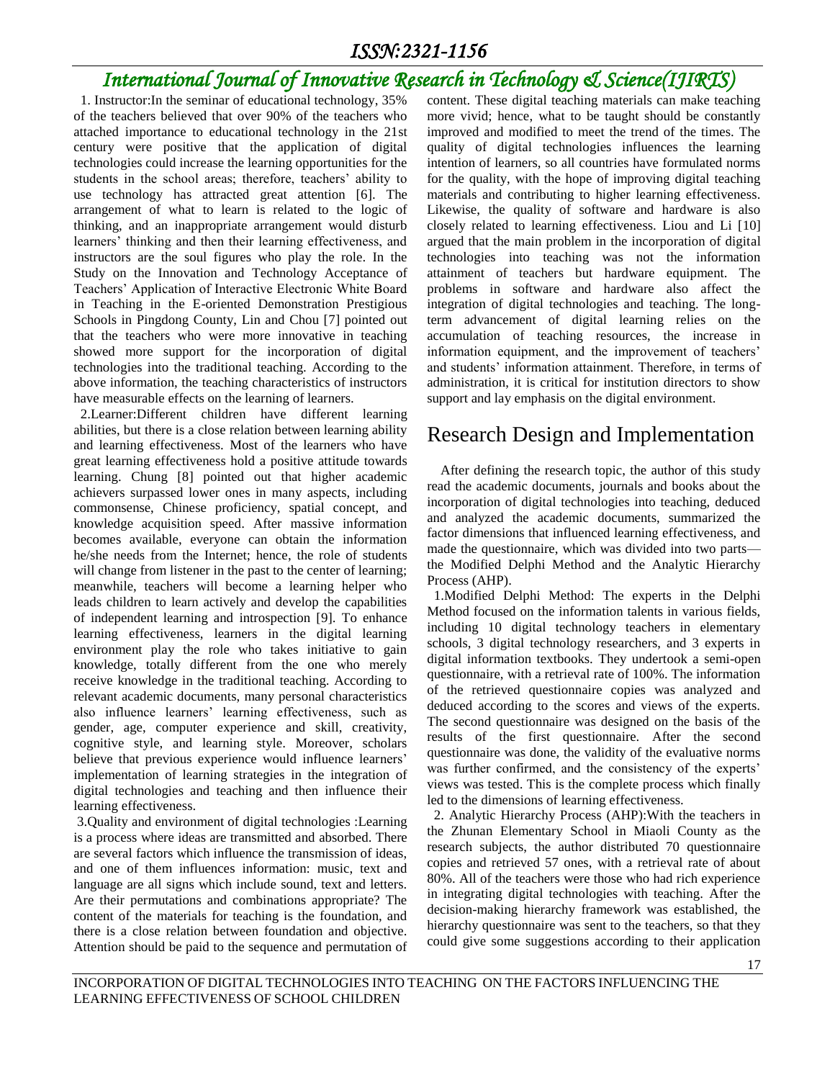### *ISSN:2321-1156*

# *International Journal of Innovative Research in Technology & Science(IJIRTS)*

 1. Instructor:In the seminar of educational technology, 35% of the teachers believed that over 90% of the teachers who attached importance to educational technology in the 21st century were positive that the application of digital technologies could increase the learning opportunities for the students in the school areas; therefore, teachers' ability to use technology has attracted great attention [6]. The arrangement of what to learn is related to the logic of thinking, and an inappropriate arrangement would disturb learners' thinking and then their learning effectiveness, and instructors are the soul figures who play the role. In the Study on the Innovation and Technology Acceptance of Teachers' Application of Interactive Electronic White Board in Teaching in the E-oriented Demonstration Prestigious Schools in Pingdong County, Lin and Chou [7] pointed out that the teachers who were more innovative in teaching showed more support for the incorporation of digital technologies into the traditional teaching. According to the above information, the teaching characteristics of instructors have measurable effects on the learning of learners.

 2.Learner:Different children have different learning abilities, but there is a close relation between learning ability and learning effectiveness. Most of the learners who have great learning effectiveness hold a positive attitude towards learning. Chung [8] pointed out that higher academic achievers surpassed lower ones in many aspects, including commonsense, Chinese proficiency, spatial concept, and knowledge acquisition speed. After massive information becomes available, everyone can obtain the information he/she needs from the Internet; hence, the role of students will change from listener in the past to the center of learning; meanwhile, teachers will become a learning helper who leads children to learn actively and develop the capabilities of independent learning and introspection [9]. To enhance learning effectiveness, learners in the digital learning environment play the role who takes initiative to gain knowledge, totally different from the one who merely receive knowledge in the traditional teaching. According to relevant academic documents, many personal characteristics also influence learners' learning effectiveness, such as gender, age, computer experience and skill, creativity, cognitive style, and learning style. Moreover, scholars believe that previous experience would influence learners' implementation of learning strategies in the integration of digital technologies and teaching and then influence their learning effectiveness.

3.Quality and environment of digital technologies :Learning is a process where ideas are transmitted and absorbed. There are several factors which influence the transmission of ideas, and one of them influences information: music, text and language are all signs which include sound, text and letters. Are their permutations and combinations appropriate? The content of the materials for teaching is the foundation, and there is a close relation between foundation and objective. Attention should be paid to the sequence and permutation of content. These digital teaching materials can make teaching more vivid; hence, what to be taught should be constantly improved and modified to meet the trend of the times. The quality of digital technologies influences the learning intention of learners, so all countries have formulated norms for the quality, with the hope of improving digital teaching materials and contributing to higher learning effectiveness. Likewise, the quality of software and hardware is also closely related to learning effectiveness. Liou and Li [10] argued that the main problem in the incorporation of digital technologies into teaching was not the information attainment of teachers but hardware equipment. The problems in software and hardware also affect the integration of digital technologies and teaching. The longterm advancement of digital learning relies on the accumulation of teaching resources, the increase in information equipment, and the improvement of teachers' and students' information attainment. Therefore, in terms of administration, it is critical for institution directors to show support and lay emphasis on the digital environment.

### Research Design and Implementation

After defining the research topic, the author of this study read the academic documents, journals and books about the incorporation of digital technologies into teaching, deduced and analyzed the academic documents, summarized the factor dimensions that influenced learning effectiveness, and made the questionnaire, which was divided into two parts the Modified Delphi Method and the Analytic Hierarchy Process (AHP).

 1.Modified Delphi Method: The experts in the Delphi Method focused on the information talents in various fields, including 10 digital technology teachers in elementary schools, 3 digital technology researchers, and 3 experts in digital information textbooks. They undertook a semi-open questionnaire, with a retrieval rate of 100%. The information of the retrieved questionnaire copies was analyzed and deduced according to the scores and views of the experts. The second questionnaire was designed on the basis of the results of the first questionnaire. After the second questionnaire was done, the validity of the evaluative norms was further confirmed, and the consistency of the experts' views was tested. This is the complete process which finally led to the dimensions of learning effectiveness.

 2. Analytic Hierarchy Process (AHP):With the teachers in the Zhunan Elementary School in Miaoli County as the research subjects, the author distributed 70 questionnaire copies and retrieved 57 ones, with a retrieval rate of about 80%. All of the teachers were those who had rich experience in integrating digital technologies with teaching. After the decision-making hierarchy framework was established, the hierarchy questionnaire was sent to the teachers, so that they could give some suggestions according to their application

INCORPORATION OF DIGITAL TECHNOLOGIES INTO TEACHING ON THE FACTORS INFLUENCING THE LEARNING EFFECTIVENESS OF SCHOOL CHILDREN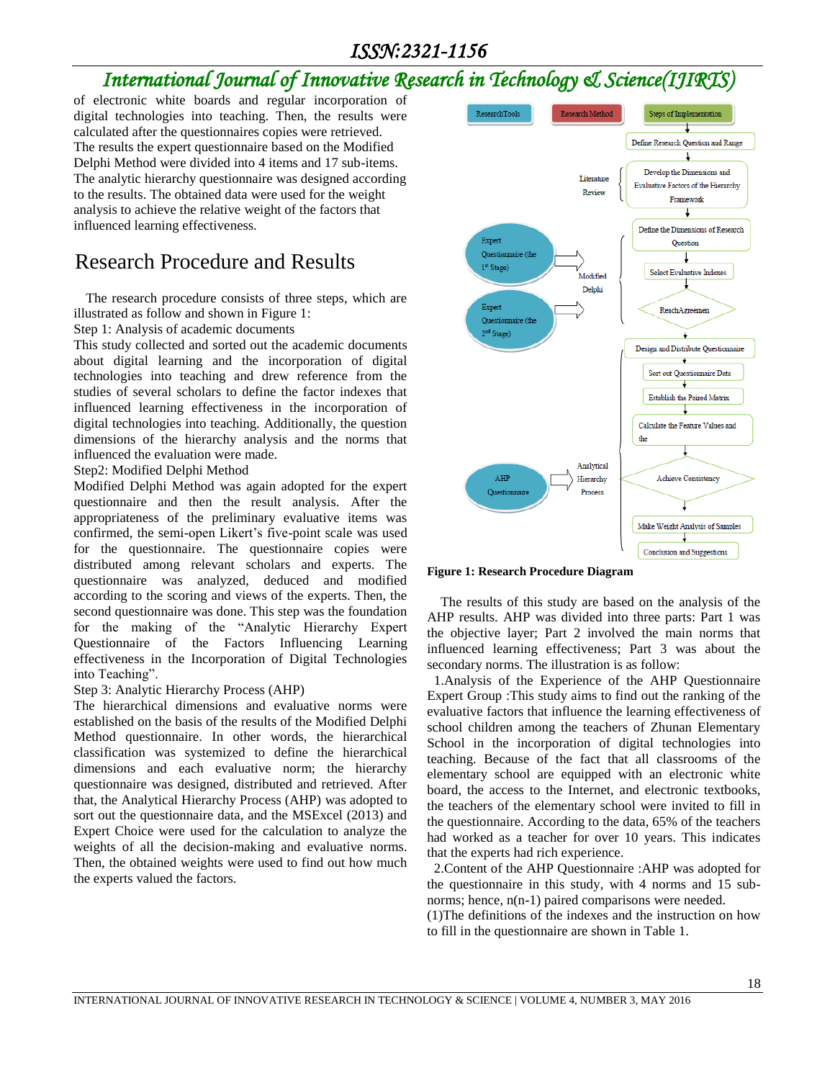### *ISSN:2321-1156*

# *International Journal of Innovative Research in Technology & Science(IJIRTS)*

of electronic white boards and regular incorporation of digital technologies into teaching. Then, the results were calculated after the questionnaires copies were retrieved. The results the expert questionnaire based on the Modified Delphi Method were divided into 4 items and 17 sub-items. The analytic hierarchy questionnaire was designed according to the results. The obtained data were used for the weight analysis to achieve the relative weight of the factors that influenced learning effectiveness.

### Research Procedure and Results

The research procedure consists of three steps, which are illustrated as follow and shown in Figure 1:

Step 1: Analysis of academic documents

This study collected and sorted out the academic documents about digital learning and the incorporation of digital technologies into teaching and drew reference from the studies of several scholars to define the factor indexes that influenced learning effectiveness in the incorporation of digital technologies into teaching. Additionally, the question dimensions of the hierarchy analysis and the norms that influenced the evaluation were made.

#### Step2: Modified Delphi Method

Modified Delphi Method was again adopted for the expert questionnaire and then the result analysis. After the appropriateness of the preliminary evaluative items was confirmed, the semi-open Likert's five-point scale was used for the questionnaire. The questionnaire copies were distributed among relevant scholars and experts. The questionnaire was analyzed, deduced and modified according to the scoring and views of the experts. Then, the second questionnaire was done. This step was the foundation for the making of the "Analytic Hierarchy Expert Questionnaire of the Factors Influencing Learning effectiveness in the Incorporation of Digital Technologies into Teaching".

#### Step 3: Analytic Hierarchy Process (AHP)

The hierarchical dimensions and evaluative norms were established on the basis of the results of the Modified Delphi Method questionnaire. In other words, the hierarchical classification was systemized to define the hierarchical dimensions and each evaluative norm; the hierarchy questionnaire was designed, distributed and retrieved. After that, the Analytical Hierarchy Process (AHP) was adopted to sort out the questionnaire data, and the MSExcel (2013) and Expert Choice were used for the calculation to analyze the weights of all the decision-making and evaluative norms. Then, the obtained weights were used to find out how much the experts valued the factors.



**Figure 1: Research Procedure Diagram**

The results of this study are based on the analysis of the AHP results. AHP was divided into three parts: Part 1 was the objective layer; Part 2 involved the main norms that influenced learning effectiveness; Part 3 was about the secondary norms. The illustration is as follow:

 1.Analysis of the Experience of the AHP Questionnaire Expert Group :This study aims to find out the ranking of the evaluative factors that influence the learning effectiveness of school children among the teachers of Zhunan Elementary School in the incorporation of digital technologies into teaching. Because of the fact that all classrooms of the elementary school are equipped with an electronic white board, the access to the Internet, and electronic textbooks, the teachers of the elementary school were invited to fill in the questionnaire. According to the data, 65% of the teachers had worked as a teacher for over 10 years. This indicates that the experts had rich experience.

 2.Content of the AHP Questionnaire :AHP was adopted for the questionnaire in this study, with 4 norms and 15 subnorms; hence,  $n(n-1)$  paired comparisons were needed.

(1)The definitions of the indexes and the instruction on how to fill in the questionnaire are shown in Table 1.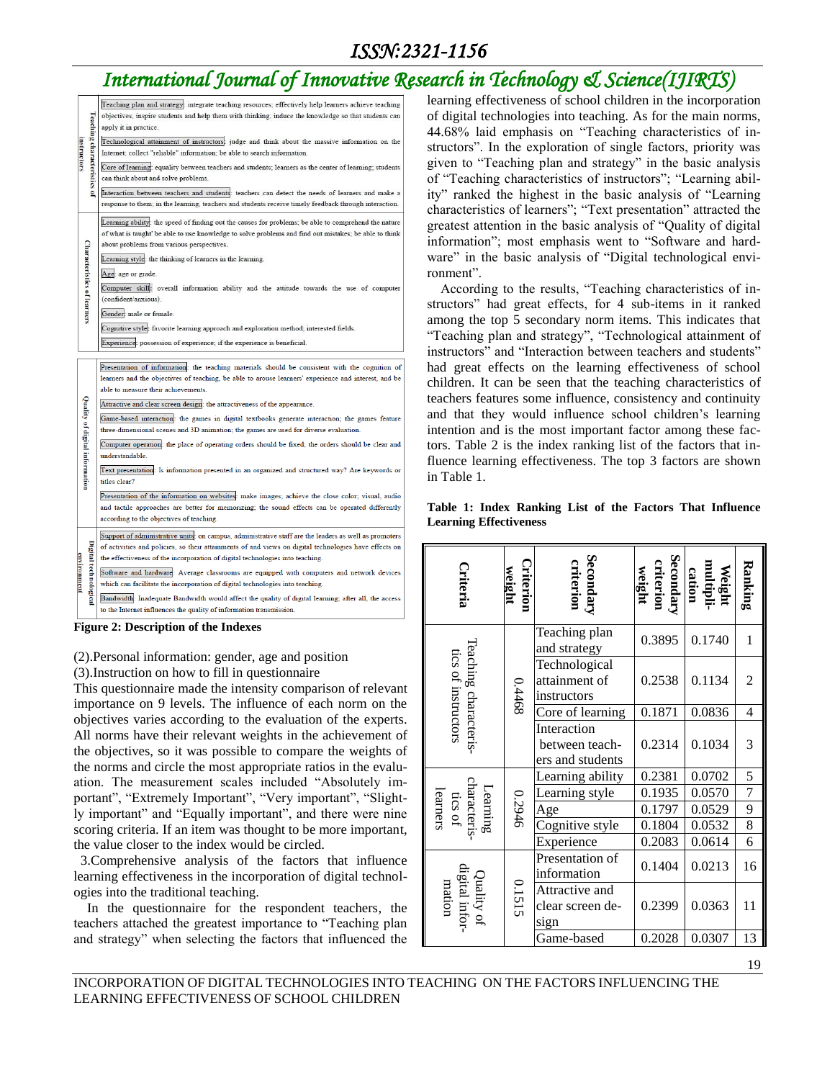### *ISSN:2321-1156*

# *International Journal of Innovative Research in Technology & Science(IJIRTS)*

| <b>Teaching characteristics</b><br>nstructors<br>ē | Teaching plan and strategy: integrate teaching resources; effectively help learners achieve teaching<br>objectives; inspire students and help them with thinking; induce the knowledge so that students can                                                |
|----------------------------------------------------|------------------------------------------------------------------------------------------------------------------------------------------------------------------------------------------------------------------------------------------------------------|
|                                                    | apply it in practice.                                                                                                                                                                                                                                      |
|                                                    | Technological attainment of instructors: judge and think about the massive information on the                                                                                                                                                              |
|                                                    | Internet; collect "reliable" information; be able to search information.<br>Core of learning: equality between teachers and students; learners as the center of learning; students                                                                         |
|                                                    | can think about and solve problems.                                                                                                                                                                                                                        |
|                                                    | Interaction between teachers and students: teachers can detect the needs of learners and make a<br>response to them; in the learning, teachers and students receive timely feedback through interaction.                                                   |
| <b>Characteristics of learners</b>                 | Learning ability: the speed of finding out the causes for problems; be able to comprehend the nature<br>of what is taught' be able to use knowledge to solve problems and find out mistakes; be able to think<br>about problems from various perspectives. |
|                                                    | Learning style: the thinking of learners in the learning.                                                                                                                                                                                                  |
|                                                    | Age: age or grade.                                                                                                                                                                                                                                         |
|                                                    | Computer skill: overall information ability and the attitude towards the use of computer<br>(confident/anxious).                                                                                                                                           |
|                                                    | Gender: male or female.                                                                                                                                                                                                                                    |
|                                                    | Cognitive style: favorite learning approach and exploration method; interested fields.                                                                                                                                                                     |
|                                                    | Experience: possession of experience; if the experience is beneficial.                                                                                                                                                                                     |
| Quality of digital information                     | Presentation of information: the teaching materials should be consistent with the cognition of                                                                                                                                                             |
|                                                    | learners and the objectives of teaching, be able to arouse learners' experience and interest, and be<br>able to measure their achievements.                                                                                                                |
|                                                    | Attractive and clear screen design: the attractiveness of the appearance.                                                                                                                                                                                  |
|                                                    | Game-based interaction: the games in digital textbooks generate interaction; the games feature<br>three-dimensional scenes and 3D animation; the games are used for diverse evaluation.                                                                    |
|                                                    | Computer operation: the place of operating orders should be fixed; the orders should be clear and                                                                                                                                                          |
|                                                    | understandable.                                                                                                                                                                                                                                            |
|                                                    | Text presentation: Is information presented in an organized and structured way? Are keywords or<br>titles clear?                                                                                                                                           |
|                                                    | Presentation of the information on websites: make images; achieve the close color; visual, audio                                                                                                                                                           |
|                                                    | and tactile approaches are better for memorizing; the sound effects can be operated differently<br>according to the objectives of teaching.                                                                                                                |
| Digital technologica<br><b>COVIFORMENT</b>         | Support of administrative units: on campus, administrative staff are the leaders as well as promoters<br>of activities and policies, so their attainments of and views on digital technologies have effects on                                             |
|                                                    | the effectiveness of the incorporation of digital technologies into teaching.                                                                                                                                                                              |
|                                                    | Software and hardware: Average classrooms are equipped with computers and network devices                                                                                                                                                                  |
|                                                    | which can facilitate the incorporation of digital technologies into teaching.<br>Bandwidth: Inadequate Bandwidth would affect the quality of digital learning; after all, the access                                                                       |
|                                                    | to the Internet influences the quality of information transmission.                                                                                                                                                                                        |

#### **Figure 2: Description of the Indexes**

#### (2).Personal information: gender, age and position

(3).Instruction on how to fill in questionnaire

This questionnaire made the intensity comparison of relevant importance on 9 levels. The influence of each norm on the objectives varies according to the evaluation of the experts. All norms have their relevant weights in the achievement of the objectives, so it was possible to compare the weights of the norms and circle the most appropriate ratios in the evaluation. The measurement scales included "Absolutely important", "Extremely Important", "Very important", "Slightly important" and "Equally important", and there were nine scoring criteria. If an item was thought to be more important, the value closer to the index would be circled.

 3.Comprehensive analysis of the factors that influence learning effectiveness in the incorporation of digital technologies into the traditional teaching.

In the questionnaire for the respondent teachers, the teachers attached the greatest importance to "Teaching plan and strategy" when selecting the factors that influenced the

learning effectiveness of school children in the incorporation of digital technologies into teaching. As for the main norms, 44.68% laid emphasis on "Teaching characteristics of instructors". In the exploration of single factors, priority was given to "Teaching plan and strategy" in the basic analysis of "Teaching characteristics of instructors"; "Learning ability" ranked the highest in the basic analysis of "Learning characteristics of learners"; "Text presentation" attracted the greatest attention in the basic analysis of "Quality of digital information"; most emphasis went to "Software and hardware" in the basic analysis of "Digital technological environment".

According to the results, "Teaching characteristics of instructors" had great effects, for 4 sub-items in it ranked among the top 5 secondary norm items. This indicates that "Teaching plan and strategy", "Technological attainment of instructors" and "Interaction between teachers and students" had great effects on the learning effectiveness of school children. It can be seen that the teaching characteristics of teachers features some influence, consistency and continuity and that they would influence school children's learning intention and is the most important factor among these factors. Table 2 is the index ranking list of the factors that influence learning effectiveness. The top 3 factors are shown in Table 1.

#### **Table 1: Index Ranking List of the Factors That Influence Learning Effectiveness**

| Criteria                                    | Criterion<br>weight | <b>Secondary</b><br>criterion                     | Secondary<br>criterion<br>weight | multipli-<br>cation<br>Weight | Ranking        |
|---------------------------------------------|---------------------|---------------------------------------------------|----------------------------------|-------------------------------|----------------|
|                                             |                     | Teaching plan<br>and strategy                     | 0.3895                           | 0.1740                        | 1              |
| Teaching characteris<br>tics of instructors | 89tt0               | Technological<br>attainment of<br>instructors     | 0.2538                           | 0.1134                        | 2              |
|                                             |                     | Core of learning                                  | 0.1871                           | 0.0836                        | $\overline{4}$ |
|                                             |                     | Interaction<br>between teach-<br>ers and students | 0.2314                           | 0.1034                        | 3              |
|                                             |                     | Learning ability                                  | 0.2381                           | 0.0702                        | 5              |
| characteris-<br>tics of<br>Learning         |                     | Learning style                                    | 0.1935                           | 0.0570                        | 7              |
| learners                                    | 0.2946              | Age                                               | 0.1797                           | 0.0529                        | 9              |
|                                             |                     | Cognitive style                                   | 0.1804                           | 0.0532                        | 8              |
|                                             |                     | Experience                                        | 0.2083                           | 0.0614                        | 6              |
|                                             | 0.1515              | Presentation of<br>information                    | 0.1404                           | 0.0213                        | 16             |
| Quality of<br>ligital infor-<br>mation      |                     | Attractive and<br>clear screen de-<br>sign        | 0.2399                           | 0.0363                        | 11             |
|                                             |                     | Game-based                                        | 0.2028                           | 0.0307                        | 13             |

INCORPORATION OF DIGITAL TECHNOLOGIES INTO TEACHING ON THE FACTORS INFLUENCING THE LEARNING EFFECTIVENESS OF SCHOOL CHILDREN

19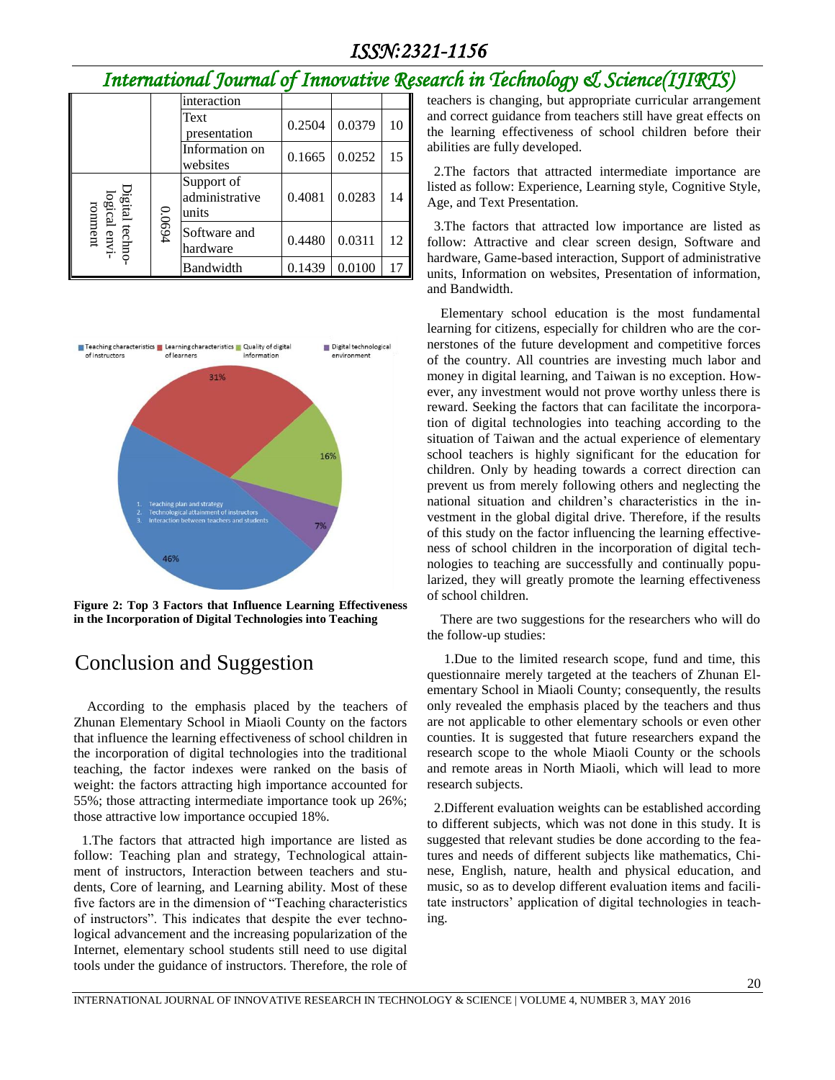# *International Journal of Innovative Research in Technology & Science(IJIRTS)*

|                                  |        | interaction                           |        |        |    |
|----------------------------------|--------|---------------------------------------|--------|--------|----|
|                                  |        | Text<br>presentation                  | 0.2504 | 0.0379 | 10 |
|                                  |        | Information on<br>websites            | 0.1665 | 0.0252 | 15 |
| Digital techno-<br>logical envi- |        | Support of<br>administrative<br>units | 0.4081 | 0.0283 | 14 |
| ronment                          | 0.0694 | Software and<br>hardware              | 0.4480 | 0.0311 | 12 |
|                                  |        | Bandwidth                             | 0.1439 | 0.0100 | 17 |



**Figure 2: Top 3 Factors that Influence Learning Effectiveness in the Incorporation of Digital Technologies into Teaching**

### Conclusion and Suggestion

According to the emphasis placed by the teachers of Zhunan Elementary School in Miaoli County on the factors that influence the learning effectiveness of school children in the incorporation of digital technologies into the traditional teaching, the factor indexes were ranked on the basis of weight: the factors attracting high importance accounted for 55%; those attracting intermediate importance took up 26%; those attractive low importance occupied 18%.

 1.The factors that attracted high importance are listed as follow: Teaching plan and strategy, Technological attainment of instructors, Interaction between teachers and students, Core of learning, and Learning ability. Most of these five factors are in the dimension of "Teaching characteristics of instructors". This indicates that despite the ever technological advancement and the increasing popularization of the Internet, elementary school students still need to use digital tools under the guidance of instructors. Therefore, the role of teachers is changing, but appropriate curricular arrangement and correct guidance from teachers still have great effects on the learning effectiveness of school children before their abilities are fully developed.

 2.The factors that attracted intermediate importance are listed as follow: Experience, Learning style, Cognitive Style, Age, and Text Presentation.

 3.The factors that attracted low importance are listed as follow: Attractive and clear screen design, Software and hardware, Game-based interaction, Support of administrative units, Information on websites, Presentation of information, and Bandwidth.

Elementary school education is the most fundamental learning for citizens, especially for children who are the cornerstones of the future development and competitive forces of the country. All countries are investing much labor and money in digital learning, and Taiwan is no exception. However, any investment would not prove worthy unless there is reward. Seeking the factors that can facilitate the incorporation of digital technologies into teaching according to the situation of Taiwan and the actual experience of elementary school teachers is highly significant for the education for children. Only by heading towards a correct direction can prevent us from merely following others and neglecting the national situation and children's characteristics in the investment in the global digital drive. Therefore, if the results of this study on the factor influencing the learning effectiveness of school children in the incorporation of digital technologies to teaching are successfully and continually popularized, they will greatly promote the learning effectiveness of school children.

There are two suggestions for the researchers who will do the follow-up studies:

1.Due to the limited research scope, fund and time, this questionnaire merely targeted at the teachers of Zhunan Elementary School in Miaoli County; consequently, the results only revealed the emphasis placed by the teachers and thus are not applicable to other elementary schools or even other counties. It is suggested that future researchers expand the research scope to the whole Miaoli County or the schools and remote areas in North Miaoli, which will lead to more research subjects.

 2.Different evaluation weights can be established according to different subjects, which was not done in this study. It is suggested that relevant studies be done according to the features and needs of different subjects like mathematics, Chinese, English, nature, health and physical education, and music, so as to develop different evaluation items and facilitate instructors' application of digital technologies in teaching.